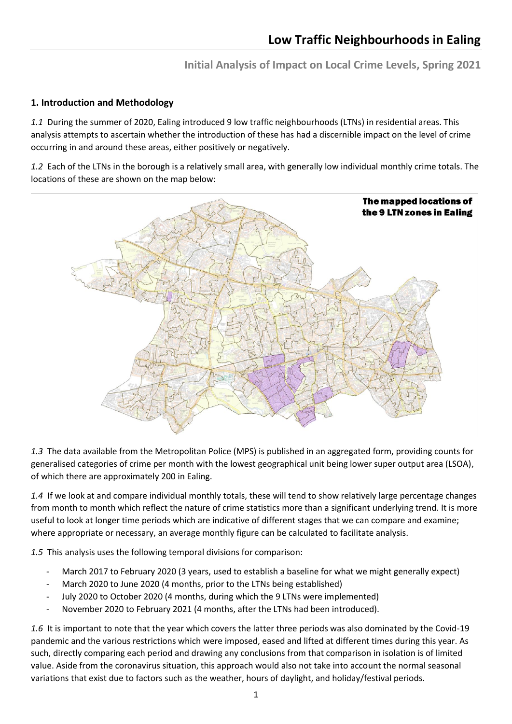**Initial Analysis of Impact on Local Crime Levels, Spring 2021**

## **1. Introduction and Methodology**

*1.1* During the summer of 2020, Ealing introduced 9 low traffic neighbourhoods (LTNs) in residential areas. This analysis attempts to ascertain whether the introduction of these has had a discernible impact on the level of crime occurring in and around these areas, either positively or negatively.

*1.2* Each of the LTNs in the borough is a relatively small area, with generally low individual monthly crime totals. The locations of these are shown on the map below:



*1.3* The data available from the Metropolitan Police (MPS) is published in an aggregated form, providing counts for generalised categories of crime per month with the lowest geographical unit being lower super output area (LSOA), of which there are approximately 200 in Ealing.

*1.4* If we look at and compare individual monthly totals, these will tend to show relatively large percentage changes from month to month which reflect the nature of crime statistics more than a significant underlying trend. It is more useful to look at longer time periods which are indicative of different stages that we can compare and examine; where appropriate or necessary, an average monthly figure can be calculated to facilitate analysis.

*1.5* This analysis uses the following temporal divisions for comparison:

- March 2017 to February 2020 (3 years, used to establish a baseline for what we might generally expect)
- March 2020 to June 2020 (4 months, prior to the LTNs being established)
- July 2020 to October 2020 (4 months, during which the 9 LTNs were implemented)
- November 2020 to February 2021 (4 months, after the LTNs had been introduced).

*1.6* It is important to note that the year which covers the latter three periods was also dominated by the Covid-19 pandemic and the various restrictions which were imposed, eased and lifted at different times during this year. As such, directly comparing each period and drawing any conclusions from that comparison in isolation is of limited value. Aside from the coronavirus situation, this approach would also not take into account the normal seasonal variations that exist due to factors such as the weather, hours of daylight, and holiday/festival periods.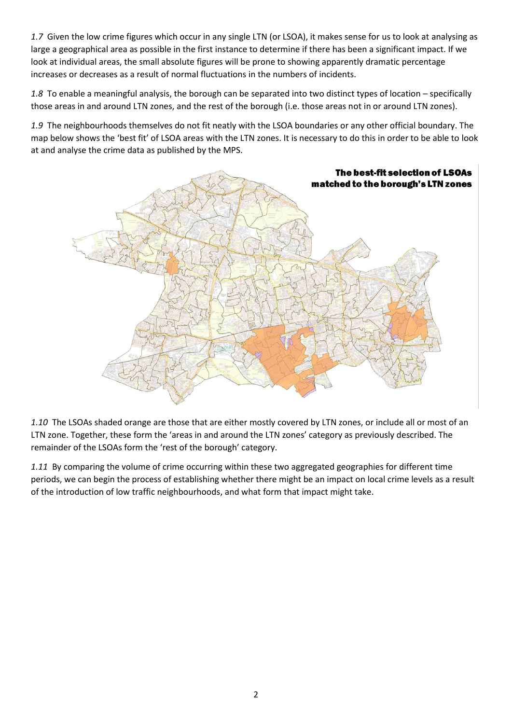*1.7* Given the low crime figures which occur in any single LTN (or LSOA), it makes sense for us to look at analysing as large a geographical area as possible in the first instance to determine if there has been a significant impact. If we look at individual areas, the small absolute figures will be prone to showing apparently dramatic percentage increases or decreases as a result of normal fluctuations in the numbers of incidents.

*1.8* To enable a meaningful analysis, the borough can be separated into two distinct types of location – specifically those areas in and around LTN zones, and the rest of the borough (i.e. those areas not in or around LTN zones).

*1.9* The neighbourhoods themselves do not fit neatly with the LSOA boundaries or any other official boundary. The map below shows the 'best fit' of LSOA areas with the LTN zones. It is necessary to do this in order to be able to look at and analyse the crime data as published by the MPS.



*1.10* The LSOAs shaded orange are those that are either mostly covered by LTN zones, or include all or most of an LTN zone. Together, these form the 'areas in and around the LTN zones' category as previously described. The remainder of the LSOAs form the 'rest of the borough' category.

*1.11* By comparing the volume of crime occurring within these two aggregated geographies for different time periods, we can begin the process of establishing whether there might be an impact on local crime levels as a result of the introduction of low traffic neighbourhoods, and what form that impact might take.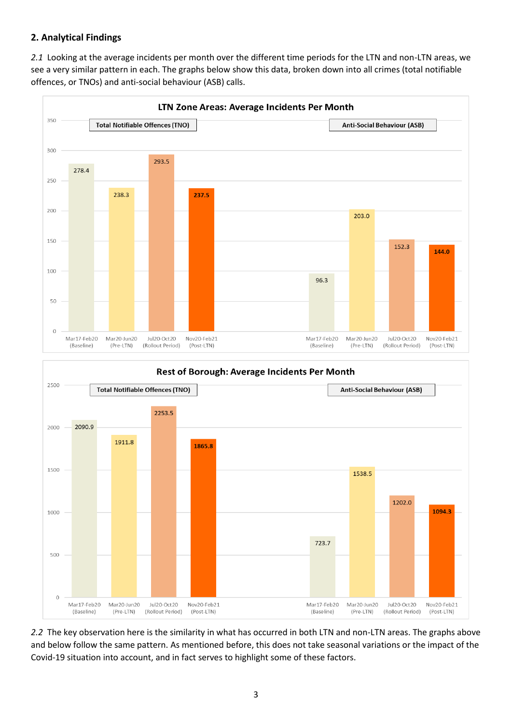## **2. Analytical Findings**

*2.1* Looking at the average incidents per month over the different time periods for the LTN and non-LTN areas, we see a very similar pattern in each. The graphs below show this data, broken down into all crimes (total notifiable offences, or TNOs) and anti-social behaviour (ASB) calls.





*2.2* The key observation here is the similarity in what has occurred in both LTN and non-LTN areas. The graphs above and below follow the same pattern. As mentioned before, this does not take seasonal variations or the impact of the Covid-19 situation into account, and in fact serves to highlight some of these factors.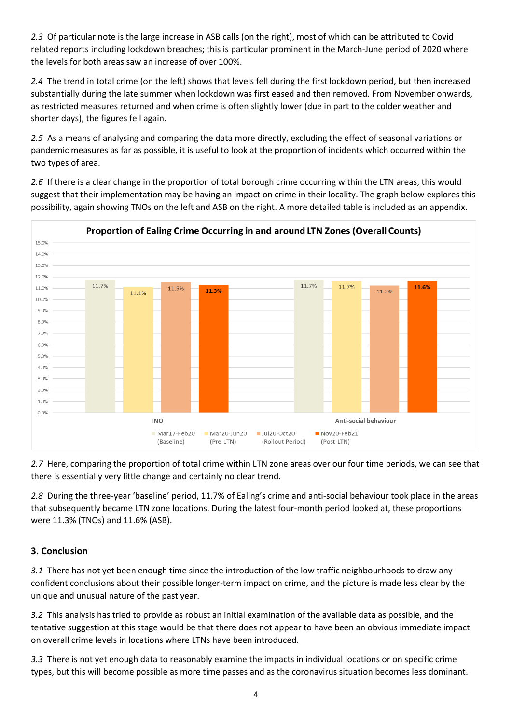*2.3* Of particular note is the large increase in ASB calls (on the right), most of which can be attributed to Covid related reports including lockdown breaches; this is particular prominent in the March-June period of 2020 where the levels for both areas saw an increase of over 100%.

*2.4* The trend in total crime (on the left) shows that levels fell during the first lockdown period, but then increased substantially during the late summer when lockdown was first eased and then removed. From November onwards, as restricted measures returned and when crime is often slightly lower (due in part to the colder weather and shorter days), the figures fell again.

*2.5* As a means of analysing and comparing the data more directly, excluding the effect of seasonal variations or pandemic measures as far as possible, it is useful to look at the proportion of incidents which occurred within the two types of area.

*2.6* If there is a clear change in the proportion of total borough crime occurring within the LTN areas, this would suggest that their implementation may be having an impact on crime in their locality. The graph below explores this possibility, again showing TNOs on the left and ASB on the right. A more detailed table is included as an appendix.



*2.7* Here, comparing the proportion of total crime within LTN zone areas over our four time periods, we can see that there is essentially very little change and certainly no clear trend.

*2.8* During the three-year 'baseline' period, 11.7% of Ealing's crime and anti-social behaviour took place in the areas that subsequently became LTN zone locations. During the latest four-month period looked at, these proportions were 11.3% (TNOs) and 11.6% (ASB).

## **3. Conclusion**

*3.1* There has not yet been enough time since the introduction of the low traffic neighbourhoods to draw any confident conclusions about their possible longer-term impact on crime, and the picture is made less clear by the unique and unusual nature of the past year.

*3.2* This analysis has tried to provide as robust an initial examination of the available data as possible, and the tentative suggestion at this stage would be that there does not appear to have been an obvious immediate impact on overall crime levels in locations where LTNs have been introduced.

*3.3* There is not yet enough data to reasonably examine the impacts in individual locations or on specific crime types, but this will become possible as more time passes and as the coronavirus situation becomes less dominant.